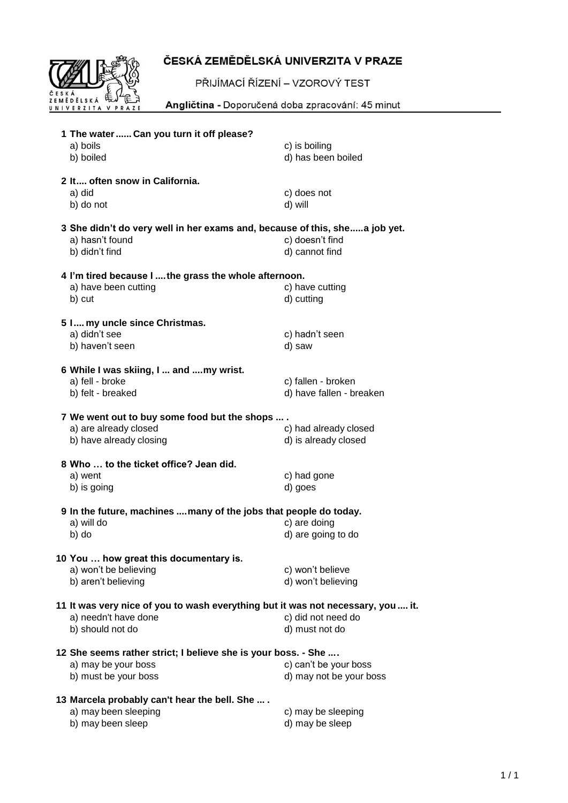

## ČESKÁ ZEMĚDĚLSKÁ UNIVERZITA V PRAZE

PŘIJÍMACÍ ŘÍZENÍ – VZOROVÝ TEST

Angličtina - Doporučená doba zpracování: 45 minut

| 1 The water  Can you turn it off please?                                                                         |                          |  |
|------------------------------------------------------------------------------------------------------------------|--------------------------|--|
| a) boils                                                                                                         | c) is boiling            |  |
| b) boiled                                                                                                        | d) has been boiled       |  |
| 2 It often snow in California.                                                                                   |                          |  |
| a) did                                                                                                           | c) does not              |  |
| b) do not                                                                                                        | d) will                  |  |
| 3 She didn't do very well in her exams and, because of this, shea job yet.<br>c) doesn't find<br>a) hasn't found |                          |  |
| b) didn't find                                                                                                   | d) cannot find           |  |
|                                                                                                                  |                          |  |
| 4 I'm tired because I  the grass the whole afternoon.                                                            |                          |  |
| a) have been cutting                                                                                             | c) have cutting          |  |
| b) cut                                                                                                           | d) cutting               |  |
|                                                                                                                  |                          |  |
| 5 I my uncle since Christmas.<br>a) didn't see                                                                   | c) hadn't seen           |  |
| b) haven't seen                                                                                                  | d) saw                   |  |
|                                                                                                                  |                          |  |
| 6 While I was skiing, I  and my wrist.                                                                           |                          |  |
| a) fell - broke                                                                                                  | c) fallen - broken       |  |
| b) felt - breaked                                                                                                | d) have fallen - breaken |  |
|                                                                                                                  |                          |  |
| 7 We went out to buy some food but the shops  .<br>a) are already closed                                         | c) had already closed    |  |
| b) have already closing                                                                                          | d) is already closed     |  |
|                                                                                                                  |                          |  |
| 8 Who  to the ticket office? Jean did.                                                                           |                          |  |
| a) went                                                                                                          | c) had gone              |  |
| b) is going                                                                                                      | d) goes                  |  |
| 9 In the future, machines  many of the jobs that people do today.                                                |                          |  |
| a) will do                                                                                                       | c) are doing             |  |
| b) do                                                                                                            | d) are going to do       |  |
|                                                                                                                  |                          |  |
| 10 You  how great this documentary is.                                                                           |                          |  |
| a) won't be believing                                                                                            | c) won't believe         |  |
| b) aren't believing                                                                                              | d) won't believing       |  |
| 11 It was very nice of you to wash everything but it was not necessary, you  it.                                 |                          |  |
| a) needn't have done                                                                                             | c) did not need do       |  |
| b) should not do                                                                                                 | d) must not do           |  |
|                                                                                                                  |                          |  |
| 12 She seems rather strict; I believe she is your boss. - She                                                    |                          |  |
| a) may be your boss                                                                                              | c) can't be your boss    |  |
| b) must be your boss                                                                                             | d) may not be your boss  |  |
| 13 Marcela probably can't hear the bell. She                                                                     |                          |  |
| a) may been sleeping                                                                                             | c) may be sleeping       |  |
| b) may been sleep                                                                                                | d) may be sleep          |  |
|                                                                                                                  |                          |  |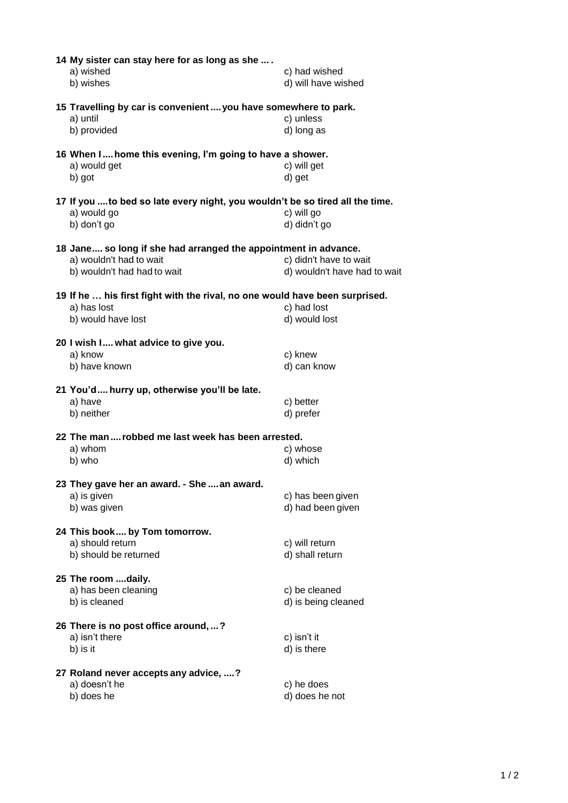| 14 My sister can stay here for as long as she<br>a) wished<br>b) wishes                                                   | c) had wished<br>d) will have wished                   |
|---------------------------------------------------------------------------------------------------------------------------|--------------------------------------------------------|
| 15 Travelling by car is convenient  you have somewhere to park.<br>a) until<br>b) provided                                | c) unless<br>d) long as                                |
|                                                                                                                           |                                                        |
| 16 When I home this evening, I'm going to have a shower.<br>a) would get<br>b) got                                        | c) will get<br>d) get                                  |
| 17 If you  to bed so late every night, you wouldn't be so tired all the time.<br>a) would go<br>b) don't go               | c) will go<br>d) didn't go                             |
| 18 Jane so long if she had arranged the appointment in advance.<br>a) wouldn't had to wait<br>b) wouldn't had had to wait | c) didn't have to wait<br>d) wouldn't have had to wait |
| 19 If he  his first fight with the rival, no one would have been surprised.<br>a) has lost<br>b) would have lost          | c) had lost<br>d) would lost                           |
| 20 I wish I what advice to give you.<br>a) know<br>b) have known                                                          | c) knew<br>d) can know                                 |
| 21 You'd hurry up, otherwise you'll be late.<br>a) have<br>b) neither                                                     | c) better<br>d) prefer                                 |
| 22 The man  robbed me last week has been arrested.                                                                        |                                                        |
| a) whom<br>b) who                                                                                                         | c) whose<br>d) which                                   |
| 23 They gave her an award. - She  an award.                                                                               |                                                        |
| a) is given<br>b) was given                                                                                               | c) has been given<br>d) had been given                 |
| 24 This book by Tom tomorrow.<br>a) should return<br>b) should be returned                                                | c) will return<br>d) shall return                      |
| 25 The room daily.<br>a) has been cleaning<br>b) is cleaned                                                               | c) be cleaned<br>d) is being cleaned                   |
| 26 There is no post office around, ?<br>a) isn't there<br>b) is it                                                        | c) isn't it<br>d) is there                             |
| 27 Roland never accepts any advice, ?<br>a) doesn't he<br>b) does he                                                      | c) he does<br>d) does he not                           |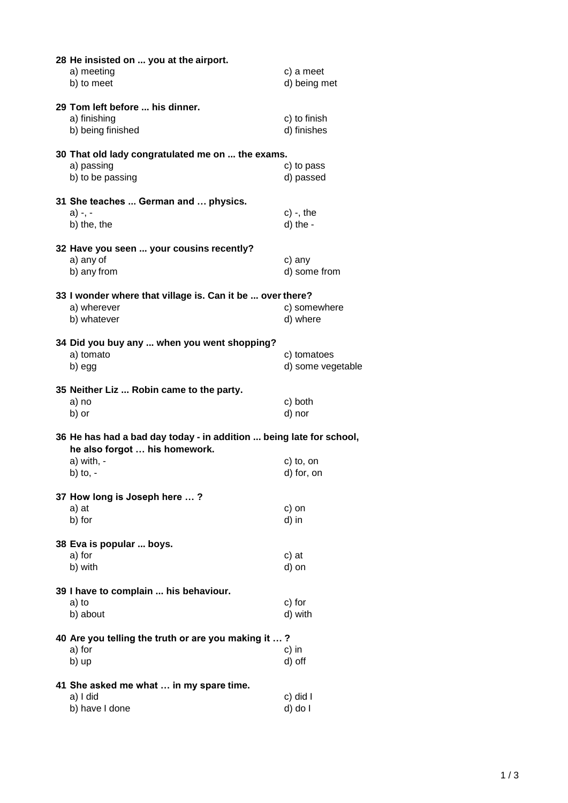| 28 He insisted on  you at the airport.<br>a) meeting<br>b) to meet                                   | c) a meet<br>d) being met   |  |
|------------------------------------------------------------------------------------------------------|-----------------------------|--|
| 29 Tom left before  his dinner.<br>a) finishing<br>b) being finished                                 | c) to finish<br>d) finishes |  |
|                                                                                                      |                             |  |
| 30 That old lady congratulated me on  the exams.<br>a) passing                                       | c) to pass                  |  |
| b) to be passing                                                                                     | d) passed                   |  |
| 31 She teaches  German and  physics.                                                                 |                             |  |
| a) -, -                                                                                              | $c)$ -, the                 |  |
| b) the, the                                                                                          | d) the -                    |  |
| 32 Have you seen  your cousins recently?                                                             |                             |  |
| a) any of                                                                                            | c) any                      |  |
| b) any from                                                                                          | d) some from                |  |
| 33 I wonder where that village is. Can it be  over there?                                            |                             |  |
| a) wherever                                                                                          | c) somewhere                |  |
| b) whatever                                                                                          | d) where                    |  |
| 34 Did you buy any  when you went shopping?                                                          |                             |  |
| a) tomato                                                                                            | c) tomatoes                 |  |
| b) egg                                                                                               | d) some vegetable           |  |
| 35 Neither Liz  Robin came to the party.                                                             |                             |  |
| a) no                                                                                                | c) both                     |  |
| b) or                                                                                                | d) nor                      |  |
| 36 He has had a bad day today - in addition  being late for school,<br>he also forgot  his homework. |                             |  |
| $a)$ with, -                                                                                         | c) to, on                   |  |
| b) to, $-$                                                                                           | d) for, on                  |  |
| 37 How long is Joseph here ?                                                                         |                             |  |
| a) at                                                                                                | c) on                       |  |
| b) for                                                                                               | d) in                       |  |
| 38 Eva is popular  boys.                                                                             |                             |  |
| a) for                                                                                               | c) at                       |  |
| b) with                                                                                              | d) on                       |  |
| 39 I have to complain  his behaviour.                                                                |                             |  |
| a) to                                                                                                | c) for                      |  |
| b) about                                                                                             | d) with                     |  |
| 40 Are you telling the truth or are you making it ?                                                  |                             |  |
| a) for                                                                                               | c) in                       |  |
| b) up                                                                                                | d) off                      |  |
| 41 She asked me what  in my spare time.                                                              |                             |  |
| a) I did                                                                                             | c) did I                    |  |
| b) have I done                                                                                       | d) do l                     |  |